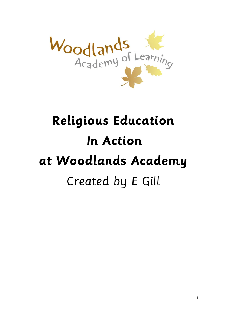

# **Religious Education In Action at Woodlands Academy** Created by E Gill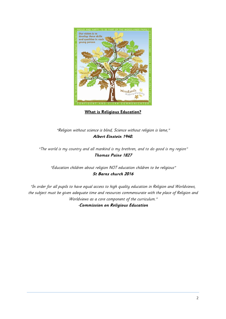

**What is Religious Education?** 

## "Religion without science is blind, Science without religion is lame," **Albert Einstein 1940.**

"The world is my country and all mankind is my brethren, and to do good is my region" **Thomas Paine 1827**

"Education children about religion NOT education children to be religious" **St Barns church 2016**

"In order for all pupils to have equal access to high quality education in Religion and Worldviews, the subject must be given adequate time and resources commensurate with the place of Religion and Worldviews as a core component of the curriculum." -**Commission on Religious Education**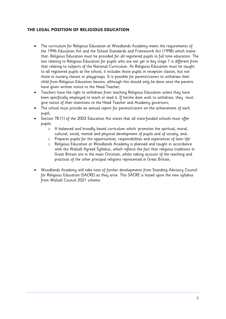## **THE LEGAL POSITION OF RELIGIOUS EDUCATION**

- The curriculum for Religious Education at Woodlands Academy meets the requirements of the 1996 Education Act and the School Standards and Framework Act (1998) which states that: Religious Education must be provided for all registered pupils in full time education. The law relating to Religious Education for pupils who are not yet in key stage 1 is different from that relating to subjects of the National Curriculum. As Religious Education must be taught to all registered pupils at the school, it includes those pupils in reception classes, but not those in nursery classes or playgroups. It is possible for parents/carers to withdraw their child from Religious Education lessons, although this should only be done once the parents have given written notice to the Head Teacher;
- Teachers have the right to withdraw from teaching Religious Education unless they have been specifically employed to teach or lead it. If he/she does wish to withdraw, they must give notice of their intentions to the Head Teacher and Academy governors;
- The school must provide an annual report for parents/carers on the achievement of each pupil;
- Section 78 (1) of the 2002 Education Act states that all state-funded schools must offer pupils:
	- o A balanced and broadly based curriculum which 'promotes the spiritual, moral, cultural, social, mental and physical development of pupils and of society, and…
	- o Prepares pupils for the opportunities, responsibilities and experiences of later life'
	- o Religious Education at Woodlands Academy is planned and taught in accordance with the Walsall Agreed Syllabus, which reflects the fact that religious traditions in Great Britain are in the main Christian, whilst taking account of the teaching and practices of the other principal religions represented in Great Britain;
- Woodlands Academy will take note of further developments from Standing Advisory Council for Religious Education (SACRE) as they arise. This SACRE is based upon the new syllabus from Walsall Council 2021 scheme.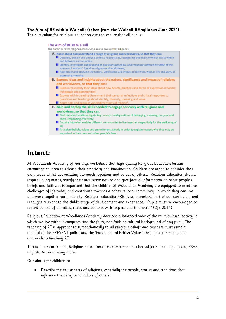## **The Aim of RE within Walsall: (taken from the Walsall RE syllabus June 2021)**

The curriculum for religious education aims to ensure that all pupils:

#### The Aim of RE in Walsall

The curriculum for religious education aims to ensure that all pupils: A. Know about and understand a range of religions and worldviews, so that they can: Describe, explain and analyse beliefs and practices, recognising the diversity which exists within and between communities: I Identify, investigate and respond to questions posed by, and responses offered by some of the sources of wisdom<sup>1</sup> found in religions and worldviews; Appreciate and appraise the nature, significance and impact of different ways of life and ways of expressing meaning. B. Express ideas and insights about the nature, significance and impact of religions and worldviews, so that they can: E Explain reasonably their ideas about how beliefs, practices and forms of expression influence individuals and communities: E Express with increasing discernment their personal reflections and critical responses to questions and teachings about identity, diversity, meaning and value. Appreciate and appraise varied dimensions of religion<sup>2</sup> C. Gain and deploy the skills needed to engage seriously with religions and worldviews, so that they can: Find out about and investigate key concepts and questions of belonging, meaning, purpose and truth, responding creatively; **E** Enquire into what enables different communities to live together respectfully for the wellbeing of all: Articulate beliefs, values and commitments clearly in order to explain reasons why they may be important in their own and other people's lives.

## **Intent:**

At Woodlands Academy of learning, we believe that high quality Religious Education lessons encourage children to release their creativity and imagination. Children are urged to consider their own needs whilst appreciating the needs, opinions and values of others. Religious Education should inspire young minds, satisfy their inquisitive nature and give factual information on other people's beliefs and faiths. It is important that the children of Woodlands Academy are equipped to meet the challenges of life today and contribute towards a cohesive local community, in which they can live and work together harmoniously. Religious Education (RE) is an important part of our curriculum and is taught relevant to the child's stage of development and experience. **"**Pupils must be encouraged to regard people of all faiths, races and cultures with respect and tolerance." (DfE 2014)

Religious Education at Woodlands Academy develops a balanced view of the multi-cultural society in which we live without compromising the faith, non-faith or cultural background of any pupil. The teaching of RE is approached sympathetically to all religious beliefs and teachers must remain mindful of the PREVENT policy and the 'Fundamental British Values' throughout their planned approach to teaching RE

Through our curriculum, Religious education often complements other subjects including Jigsaw, PSHE, English, Art and many more.

Our aim is for children to:

 Describe the key aspects of religions, especially the people, stories and traditions that influence the beliefs and values of others.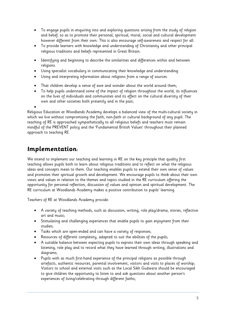- To engage pupils in enquiring into and exploring questions arising from the study of religion and belief, so as to promote their personal, spiritual, moral, social and cultural development however different from their own. This is also encourage self-awareness and respect for all.
- To provide learners with knowledge and understanding of Christianity and other principal religious traditions and beliefs represented in Great Britain.
- Identifying and beginning to describe the similarities and differences within and between religions.
- Using specialist vocabulary in communicating their knowledge and understanding.
- Using and interpreting information about religions from a range of sources.
- That children develop a sense of awe and wonder about the world around them;
- To help pupils understand some of the impact of religion throughout the world, its influences on the lives of individuals and communities and its effect on the cultural diversity of their own and other societies both presently and in the past;

Religious Education at Woodlands Academy develops a balanced view of the multi-cultural society in which we live without compromising the faith, non-faith or cultural background of any pupil. The teaching of RE is approached sympathetically to all religious beliefs and teachers must remain mindful of the PREVENT policy and the 'Fundamental British Values' throughout their planned approach to teaching RE.

## **Implementation:**

 $\bullet$ 

We intend to implement our teaching and learning in RE on the key principle that quality first teaching allows pupils both to learn about religious traditions and to reflect on what the religious ideas and concepts mean to them. Our teaching enables pupils to extend their own sense of values and promotes their spiritual growth and development. We encourage pupils to think about their own views and values in relation to the themes and topics studied in the RE curriculum offering the opportunity for personal reflection, discussion of values and opinion and spiritual development. The RE curriculum at Woodlands Academy makes a positive contribution to pupils' learning.

Teachers of RE at Woodlands Academy provide:

- A variety of teaching methods, such as discussion, writing, role play/drama, stories, reflective art and music;
- Stimulating and challenging experiences that enable pupils to gain enjoyment from their studies;
- Tasks which are open-ended and can have a variety of responses;
- Resources of different complexity, adapted to suit the abilities of the pupils;
- A suitable balance between expecting pupils to express their own ideas through speaking and listening, role play and to record what they have learned through writing, illustrations and diagrams;
- Pupils with as much first-hand experience of the principal religions as possible through artefacts, authentic resources, parental involvement, visitors and visits to places of worship; Visitors to school and external visits such as the Local Sikh Gudwara should be encouraged to give children the opportunity to listen to and ask questions about another person's experiences of living/celebrating through different faiths;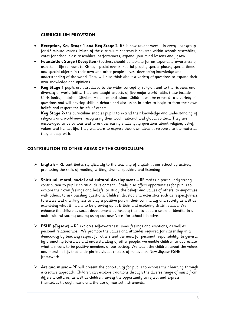## **CURRICULUM PROVISION**

- **Reception, Key Stage 1 and Key Stage 2** RE is now taught weekly in every year group for 45-minute lessons. Much of the curriculum contents is covered within schools assemblies, votes for school class assemblies, performances; expand your mind lessons and jigsaw.
- **Foundation Stage (Reception)** teachers should be looking for an expanding awareness of aspects of life relevant to RE e.g. special events, special people, special places, special times and special objects in their own and other people's lives, developing knowledge and understanding of the world. They will also think about a variety of questions to expand their own knowledge and opinions.
- **Key Stage 1** pupils are introduced to the wider concept of religion and to the richness and diversity of world faiths. They are taught aspects of five major world faiths these include Christianity, Judaism, Sikhism, Hinduism and Islam. Children will be exposed to a variety of questions and will develop skills in debate and discussion in order to begin to form their own beliefs and respect the beliefs of others.

**Key Stage 2-** the curriculum enables pupils to extend their knowledge and understanding of religions and worldviews, recognising their local, national and global context. They are encouraged to be curious and to ask increasing challenging questions about religion, belief, values and human life. They will learn to express their own ideas in response to the material they engage with.

## **CONTRIBUTION TO OTHER AREAS OF THE CURRICULUM:**

- **English –** RE contributes significantly to the teaching of English in our school by actively promoting the skills of reading, writing, drama, speaking and listening;
- **Spiritual, moral, social and cultural development –** RE makes a particularly strong contribution to pupils' spiritual development. Study also offers opportunities for pupils to explore their own feelings and beliefs, to study the beliefs and values of others, to empathise with others, to ask puzzling questions. Children develop characteristics such as respectfulness, tolerance and a willingness to play a positive part in their community and society as well as examining what it means to be growing up in Britain and exploring British values. We enhance the children's social development by helping them to build a sense of identity in a multi-cultural society and by using out new Votes for school initiative.
- **PSHE (Jigsaw) –** RE explores self-awareness, inner feelings and emotions, as well as personal relationships. We promote the values and attitudes required for citizenship in a democracy by teaching respect for others and the need for personal responsibility. In general, by promoting tolerance and understanding of other people, we enable children to appreciate what it means to be positive members of our society. We teach the children about the values and moral beliefs that underpin individual choices of behaviour. New Jigsaw PSHE framework
- **Art and music –** RE will present the opportunity for pupils to express their learning through a creative approach. Children can explore traditions through the diverse range of music from different cultures, as well as children having the opportunity to reflect and express themselves through music and the use of musical instruments.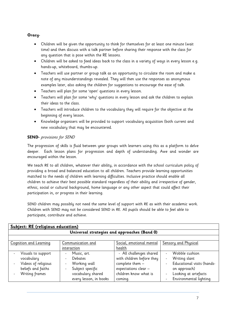## **Oracy-**

- Children will be given the opportunity to think for themselves for at least one minute (wait time) and then discuss with a talk partner before sharing their response with the class for any question that is pose within the RE lessons.
- Children will be asked to feed ideas back to the class in a variety of ways in every lesson e.g. hands-up, whiteboard, thumbs-up.
- Teachers will use partner or group talk as an opportunity to circulate the room and make a note of any misunderstandings revealed. They will then use the responses as anonymous examples later, also asking the children for suggestions to encourage the ease of talk.
- Teachers will plan for some 'open' questions in every lesson.
- Teachers will plan for some 'why' questions in every lesson and ask the children to explain their ideas to the class.
- Teachers will introduce children to the vocabulary they will require for the objective at the beginning of every lesson.
- Knowledge organisers will be provided to support vocabulary acquisition (both current and new vocabulary that may be encountered.

## **SEND-** provisions for SEND

The progression of skills is fluid between year groups with learners using this as a platform to delve deeper. Each lesson plans for progression and depth of understanding. Awe and wonder are encouraged within the lesson.

We teach RE to all children, whatever their ability, in accordance with the school curriculum policy of providing a broad and balanced education to all children. Teachers provide learning opportunities matched to the needs of children with learning difficulties. Inclusive practice should enable all children to achieve their best possible standard regardless of their ability and irrespective of gender, ethnic, social or cultural background, home language or any other aspect that could affect their participation in, or progress in their learning.

SEND children may possibly not need the same level of support with RE as with their academic work. Children with SEND may not be considered SEND in RE. All pupils should be able to feel able to participate, contribute and achieve.

| Subject: RE (religious education) |                                                  |                           |                                              |  |  |
|-----------------------------------|--------------------------------------------------|---------------------------|----------------------------------------------|--|--|
|                                   | Universal strategies and approaches (Band 0)     |                           |                                              |  |  |
|                                   |                                                  |                           |                                              |  |  |
| Cognition and Learning            | Communication and                                | Social, emotional mental  | <b>Sensory and Physical</b>                  |  |  |
|                                   | interaction                                      | health                    |                                              |  |  |
| Visuals to support                | Music, art.<br>$\overline{\phantom{a}}$          | - All challenges shared   | Wobble cushion<br>$\overline{a}$             |  |  |
| vocabulary                        | <b>Debates</b><br>٠                              | with children before they | Writing slant<br>$\overline{\phantom{a}}$    |  |  |
| Videos of religious               | Working wall<br>$\overline{a}$                   | complete them -           | Educational visits (hands-<br>$\blacksquare$ |  |  |
| beliefs and faiths                | Subject specific<br>$\qquad \qquad \blacksquare$ | expectations clear -      | on approach)                                 |  |  |
| Writing frames                    | vocabulary shared                                | children know what is     | Looking at artefacts<br>$\blacksquare$       |  |  |
|                                   | every lesson, in books                           | coming.                   | Environmental lighting                       |  |  |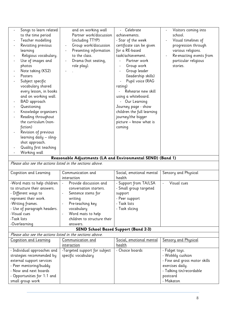| Songs to learn related                                      | and on working wall                              | Celebrate                                        | Visitors coming into                         |  |  |
|-------------------------------------------------------------|--------------------------------------------------|--------------------------------------------------|----------------------------------------------|--|--|
| to the time period                                          | Partner work/discussion                          | achievements.                                    | school.                                      |  |  |
| Teacher modelling                                           | (including TTYP)                                 | - Star of the week                               | Visual timelines of                          |  |  |
| Revisiting previous                                         | Group work/discussion                            | certificate can be given                         | progression through                          |  |  |
| learning                                                    | Presenting information                           | for a RE-based                                   | various religions.                           |  |  |
| Religious vocabulary.                                       | to the class.                                    | task/achievement.                                | Re-enacting events from                      |  |  |
| Use of images and                                           | Drama (hot seating,                              | Partner work                                     | particular religious                         |  |  |
| photos                                                      | role play).                                      | Group work                                       | stories.                                     |  |  |
| Note taking (KS2)                                           |                                                  | Group leader                                     |                                              |  |  |
| Posters                                                     |                                                  | (leadership skills)                              |                                              |  |  |
| Subject specific                                            |                                                  | Pupil voice (RAG                                 |                                              |  |  |
| vocabulary shared                                           |                                                  | rating)                                          |                                              |  |  |
| every lesson, in books                                      |                                                  | Rehearse new skill                               |                                              |  |  |
| and on working wall.                                        |                                                  | using a whiteboard.                              |                                              |  |  |
| BAD approach                                                |                                                  | - Our Learning                                   |                                              |  |  |
| Questioning                                                 |                                                  | Journey page - show                              |                                              |  |  |
| Knowledge organisers                                        |                                                  | children the full learning                       |                                              |  |  |
| Reading throughout                                          |                                                  | journey/the bigger                               |                                              |  |  |
| the curriculum (non-                                        |                                                  | picture - know what is                           |                                              |  |  |
| fiction)                                                    |                                                  | coming                                           |                                              |  |  |
| Revision of previous                                        |                                                  |                                                  |                                              |  |  |
| learning daily - sling-                                     |                                                  |                                                  |                                              |  |  |
| shot approach.                                              |                                                  |                                                  |                                              |  |  |
| Quality first teaching                                      |                                                  |                                                  |                                              |  |  |
| Working wall                                                |                                                  |                                                  |                                              |  |  |
| Reasonable Adjustments (LA and Environmental SEND) (Band 1) |                                                  |                                                  |                                              |  |  |
|                                                             |                                                  |                                                  |                                              |  |  |
| Please also see the actions listed in the sections above.   |                                                  |                                                  |                                              |  |  |
|                                                             |                                                  |                                                  |                                              |  |  |
| Cognition and Learning                                      | Communication and                                | Social, emotional mental                         | Sensory and Physical                         |  |  |
|                                                             | interaction<br>$\blacksquare$                    | health                                           |                                              |  |  |
| -Word mats to help children<br>to structure their answers.  | Provide discussion and                           | - Support from TA/LSA                            | Visual cues                                  |  |  |
|                                                             | conversation starters.                           | - Small group targeted                           |                                              |  |  |
| - Different ways to                                         | Sentence stems for                               | support                                          |                                              |  |  |
| represent their work.                                       | writing                                          | - Peer support<br>- Task lists                   |                                              |  |  |
| -Writing frames.                                            | Pre-teaching key                                 |                                                  |                                              |  |  |
| - Use of paragraph headers.<br>-Visual cues                 | vocabulary                                       | - Task slicing                                   |                                              |  |  |
| -Task lists                                                 | Word mats to help<br>children to structure their |                                                  |                                              |  |  |
|                                                             | answers.                                         |                                                  |                                              |  |  |
| -Overlearning                                               |                                                  |                                                  |                                              |  |  |
| Please also see the actions listed in the sections above.   | <b>SEND School Based Support (Band 2-3)</b>      |                                                  |                                              |  |  |
|                                                             |                                                  |                                                  |                                              |  |  |
| <b>Cognition and Learning</b>                               | <u>Communication and</u><br><u>interaction</u>   | <u>Social, emotional mental</u><br><u>health</u> | Sensory and Physical                         |  |  |
|                                                             |                                                  | - Choice boards                                  |                                              |  |  |
| - Individual approaches and                                 | -Targeted support for subject                    |                                                  | - Fidget toys.                               |  |  |
| strategies recommended by                                   | specific vocabulary                              |                                                  | - Wobbly cushion                             |  |  |
| external support services                                   |                                                  |                                                  | - Fine and gross motor skills                |  |  |
| - Peer mentoring/buddy<br>- Now and next boards             |                                                  |                                                  | exercises daily.<br>- Talking tin/recordable |  |  |
|                                                             |                                                  |                                                  | postcard                                     |  |  |
| - Opportunities for 1:1 and<br>small group work             |                                                  |                                                  | - Makaton                                    |  |  |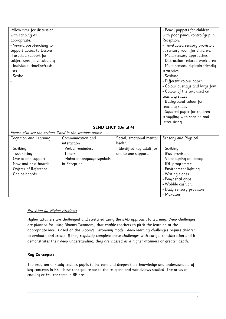| -Allow time for discussion                               |                            |                            | - Pencil puppets for children     |
|----------------------------------------------------------|----------------------------|----------------------------|-----------------------------------|
| with scribing as                                         |                            |                            | with poor pencil control/grip in  |
| appropriate.                                             |                            |                            | Reception.                        |
| -Pre-and post-teaching to                                |                            |                            | - Timetabled sensory provision    |
| support access to lessons                                |                            |                            | in sensory room for children.     |
| -Targeted support for                                    |                            |                            | - Multi-sensory approaches        |
| subject specific vocabulary                              |                            |                            | - Distraction reduced work area   |
| - Individual timeline/task                               |                            |                            | - Multi-sensory dyslexia friendly |
| lists                                                    |                            |                            | strategies                        |
| - Scribe                                                 |                            |                            | - Scribing                        |
|                                                          |                            |                            | - Different colour paper.         |
|                                                          |                            |                            | - Colour overlays and large font  |
|                                                          |                            |                            | - Colour of the text used on      |
|                                                          |                            |                            | teaching slides                   |
|                                                          |                            |                            | - Background colour for           |
|                                                          |                            |                            | teaching slides                   |
|                                                          |                            |                            | - Squared paper for children      |
|                                                          |                            |                            | struggling with spacing and       |
|                                                          |                            |                            | letter sizing                     |
|                                                          | <b>SEND EHCP (Band 4)</b>  |                            |                                   |
| Please also see the actions listed in the sections above |                            |                            |                                   |
| Cognition and Learning                                   | Communication and          | Social, emotional mental   | Sensory and Physical              |
|                                                          | interaction                | health                     |                                   |
| - Scribing                                               | - Verbal reminders         | - Identified key adult for | - Scribing                        |
| - Task slicing                                           | - Timers                   | one-to-one support.        | - iPad provision                  |
| - One-to-one support                                     | - Makaton language symbols |                            | - Voice typing on laptop          |
| - Now and next boards                                    | in Reception               |                            | - IDL programme                   |
| - Objects of Reference                                   |                            |                            | - Environment lighting            |
| - Choice boards                                          |                            |                            | - Writing slopes                  |
|                                                          |                            |                            | - Pen/pencil grips                |
|                                                          |                            |                            | - Wobble cushion                  |
|                                                          |                            |                            | - Daily sensory provision         |
|                                                          |                            |                            | - Makaton                         |

## Provision for Higher Attainers

Higher attainers are challenged and stretched using the BAD approach to learning. Deep challenges are planned for using Blooms Taxonomy that enable teachers to pitch the learning at the appropriate level. Based on the Bloom's Taxonomy model, deep learning challenges require children to evaluate and create. If they regularly complete these challenges with careful consideration and it demonstrates their deep understanding, they are classed as a higher attainers or greater depth.

## **Key Concepts:**

The program of study enables pupils to increase and deepen their knowledge and understanding of key concepts in RE. These concepts relate to the religions and worldviews studied. The areas of enquiry or key concepts in RE are: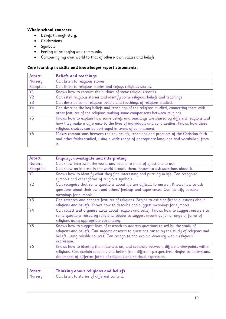## **Whole school concepts:**

- Beliefs through story.
- Celebrations
- Symbols
- Feeling of belonging and community
- Comparing my own world to that of others- own values and beliefs.

## **Core learning in skills and knowledge/ report statements.**

| Aspect:        | <b>Beliefs and teachings</b>                                                              |
|----------------|-------------------------------------------------------------------------------------------|
| Nursery        | Can listen to religious stories.                                                          |
| Reception      | Can listen to religious stories and enjoys religious stories.                             |
| Y1             | Knows how to recount the outlines of some religious stories                               |
| <b>Y2</b>      | Can retell religious stories and identify some religious beliefs and teachings            |
| Y3             | Can describe some religious beliefs and teachings of religions studied.                   |
| <b>Y4</b>      | Can describe the key beliefs and teachings of the religions studied, connecting them with |
|                | other features of the religions making some comparisons between religions.                |
| <b>Y5</b>      | Knows how to explain how some beliefs and teachings are shared by different religions and |
|                | how they make a difference to the lives of individuals and communities. Knows how these   |
|                | religious choices can be portrayed in terms of commitment.                                |
| Y <sub>6</sub> | Makes comparisons between the key beliefs, teachings and practices of the Christian faith |
|                | and other faiths studied, using a wide range of appropriate language and vocabulary from  |
|                | it.                                                                                       |

| Aspect:        | Enquiry, investigate and interpreting                                                                                                                                                                                                                                                      |
|----------------|--------------------------------------------------------------------------------------------------------------------------------------------------------------------------------------------------------------------------------------------------------------------------------------------|
| Nursery        | Can show interest in the world and begins to think of questions to ask                                                                                                                                                                                                                     |
| Reception      | Can show an interest in the world around them. Knows to ask questions about it.                                                                                                                                                                                                            |
| Y1             | Knows how to identify what they find interesting and puzzling in life. Can recognise<br>symbols and other forms of religious symbols.                                                                                                                                                      |
| Y2             | Can recognise that some questions about life are difficult to answer. Knows how to ask<br>questions about their own and others' feelings and experiences. Can identify possible<br>meanings for symbols                                                                                    |
| Y <sub>3</sub> | Can research and connect features of religions. Begins to ask significant questions about<br>religions and beliefs. Knows how to describe and suggest meanings for symbols.                                                                                                                |
| <b>Y4</b>      | Can collect and organise ideas about religion and belief. Knows how to suggest answers to<br>some questions raised by religions. Begins to suggest meanings for a range of forms of<br>religions using appropriate vocabulary.                                                             |
| <b>Y5</b>      | Knows how to suggest lines of research to address questions raised by the study of<br>religions and beliefs. Can suggest answers to questions raised by the study of religions and<br>beliefs, using reliable sources. Can recognise and explain diversity within religious<br>expression. |
| Y6             | Knows how to identify the influences on, and separate between, different viewpoints within<br>religions. Can explain religions and beliefs from different perspectives. Begins to understand<br>the impact of different forms of religious and spiritual expression.                       |

| <b>Aspect:</b> | Thinking about religions and beliefs        |
|----------------|---------------------------------------------|
| Nurseru        | Can listen to stories of different content. |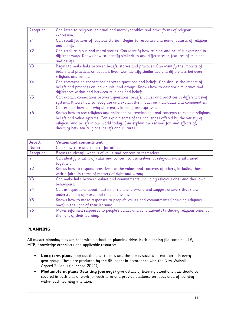| Reception      | Can listen to religious, spiritual and moral /parables and other forms of religious<br>expression.                                                                                                                                                                                                                                     |
|----------------|----------------------------------------------------------------------------------------------------------------------------------------------------------------------------------------------------------------------------------------------------------------------------------------------------------------------------------------|
| Y <sub>1</sub> | Can recall features of religious stories Begins to recognise and name features of religions<br>and beliefs                                                                                                                                                                                                                             |
| Y2             | Can retell religious and moral stories. Can identify how religion and belief is expressed in<br>different ways. Knows how to identify similarities and differences in features of religions<br>and beliefs.                                                                                                                            |
| Y <sub>3</sub> | Begins to make links between beliefs, stories and practices. Can identify the impacts of<br>beliefs and practices on people's lives. Can identify similarities and differences between<br>religions and beliefs.                                                                                                                       |
| Y4             | Can comment on connections between questions and beliefs. Can discuss the impact of<br>beliefs and practices on individuals, and groups. Knows how to describe similarities and<br>differences within and between religions and beliefs.                                                                                               |
| <b>Y5</b>      | Can explain connections between questions, beliefs, values and practices in different belief<br>systems. Knows how to recognise and explain the impact on individuals and communities.<br>Can explain how and why differences in belief are expressed.                                                                                 |
| Y6             | Knows how to use religious and philosophical terminology and concepts to explain religions,<br>beliefs and value systems. Can explain some of the challenges offered by the variety of<br>religions and beliefs in our world today. Can explain the reasons for, and effects of,<br>diversity between religions, beliefs and cultures. |

| Aspect:        | <b>Values and commitment</b>                                                                                                                   |
|----------------|------------------------------------------------------------------------------------------------------------------------------------------------|
| Nursery        | Can show care and concern for others.                                                                                                          |
| Reception      | Begins to identify what is of value and concern to themselves.                                                                                 |
| Y1             | Can identify what is of value and concern to themselves, in religious material shared<br>together.                                             |
| <b>Y2</b>      | Knows how to respond sensitively to the values and concerns of others, including those<br>with a faith, in terms of matters of right and wrong |
| Y <sub>3</sub> | Can make links between values and commitments, including religious ones and their own<br>behaviours.                                           |
| <b>Y4</b>      | Can ask questions about matters of right and wrong and suggest answers that show<br>understanding of moral and religious issues.               |
| <b>Y5</b>      | Knows how to make responses to people's values and commitments (including religious<br>ones) in the light of their learning.                   |
| Y6             | Makes informed responses to people's values and commitments (including religious ones) in<br>the light of their learning.                      |

## **PLANNING**

All master planning files are kept within school on planning drive. Each planning file contains LTP, MTP, Knowledge organisers and applicable resources.

- **Long-term plans** map out the year themes and the topics studied in each term in every year group. These are produced by the RE leader in accordance with the New Walsall Agreed Syllabus (launched 2021);
- **Medium-term plans (learning journeys)** give details of learning intentions that should be covered in each unit of work for each term and provide guidance on focus area of learning within each learning intention.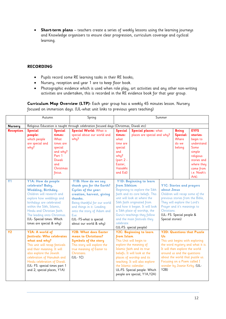**Short-term plans** – teachers create a series of weekly lessons using the learning journeys and Knowledge organisers to ensure clear progression, curriculum coverage and cyclical learning.

## **RECORDING**

- Pupils record some RE learning tasks in their RE books;
- Nursery, reception and year 1 are to keep floor book.
- Photographic evidence which is used when role play, art activities and any other non-writing activities are undertaken, this is recorded in the RE evidence book for that year group.

**Curriculum Map Overview (LTP)-** Each year group has a weekly 45 minutes lesson. Nursery focused on immersion days. (UL-what unit links to previous years teaching)

|                  | Autumn                                                                                                                                                                                                                                                                                                |                                                                                                                        | Spring                                                                                                                                                                                                                                                                | Summer                                                                                                                   |                                                                                                                                                                                                                                                                                                                       |                                                |                                                                                                                                                                                                                                         |                                                                                                                                                    |
|------------------|-------------------------------------------------------------------------------------------------------------------------------------------------------------------------------------------------------------------------------------------------------------------------------------------------------|------------------------------------------------------------------------------------------------------------------------|-----------------------------------------------------------------------------------------------------------------------------------------------------------------------------------------------------------------------------------------------------------------------|--------------------------------------------------------------------------------------------------------------------------|-----------------------------------------------------------------------------------------------------------------------------------------------------------------------------------------------------------------------------------------------------------------------------------------------------------------------|------------------------------------------------|-----------------------------------------------------------------------------------------------------------------------------------------------------------------------------------------------------------------------------------------|----------------------------------------------------------------------------------------------------------------------------------------------------|
| <b>Nursery</b>   | Religious Education is taught through celebration focused days (Christmas, Diwali etc)                                                                                                                                                                                                                |                                                                                                                        |                                                                                                                                                                                                                                                                       |                                                                                                                          |                                                                                                                                                                                                                                                                                                                       |                                                |                                                                                                                                                                                                                                         |                                                                                                                                                    |
| <b>Reception</b> | <b>Special</b><br>people:<br>which people<br>are special and<br>why?                                                                                                                                                                                                                                  | <b>Special</b><br>times:<br>What<br>times are<br>special<br>and why?<br>Part 1<br>Diwali<br>and<br>Christmas<br>focus. | <b>Special World: What is</b><br>special about our world and<br>whu?                                                                                                                                                                                                  | <b>Special</b><br>times:<br>what<br>time are<br>special<br>and<br>why?<br>$(part 2 -$<br>Easter,<br>Vaisakhi<br>and Eid) | Special places: what<br>places are special and why?                                                                                                                                                                                                                                                                   |                                                | <b>Being</b><br>Special:<br>Where<br>do we<br>belong                                                                                                                                                                                    | <b>EYFS</b><br>stories-<br>begin to<br>understand<br>Some<br>simple<br>religious<br>stories and<br>where they<br>come from<br>i.e. Noah's<br>Ark). |
| Y <sub>1</sub>   | Y1A: How do people<br>celebrate? Baby,<br>Wedding, Birthday.<br>Children will research and<br>explore how weddings and<br>birthdays are celebrated<br>within the Sikh, Islamic,<br>Hindu and Christian faith.<br>The leading onto Christmas.<br>(UL- Special times: Which<br>times are special & why) |                                                                                                                        | Y1B: How do we say<br>thank you for the Earth?<br>Cycles of the year:<br>creation, harvest, giving<br>thanks.<br>Being thankful for our world<br>and things in it. Leading<br>onto the story of Adam and<br>Eve.<br>(UL- FS-what is special<br>about our world & why) | from Sikhism<br>celebrate.                                                                                               | Y1D: Beginning to learn<br>Beginning to explore the Sikh<br>faith and its core beliefs. This<br>unit will look at where the<br>Sikh faith originated from<br>and how it began. It will look<br>a Sikh place of worship, the<br>Guru's teachings they follow<br>and the main festivals they<br>(UL-FS: special people) | about Jesus<br>Christians.<br>Special stories) | <b>Y1C: Stories and prayers</b><br>Children will recap some of the<br>previous stories from the Bible,<br>They will explore the Lord's<br>Prayer and it's meanings to<br>(UL- FS: Special people &                                      |                                                                                                                                                    |
| Y <sub>2</sub>   | Y2A: A world of<br>festivals: Who celebrates<br>what and why?<br>This unit will recap festivals<br>and their meaning. It will<br>also explore the Jewish<br>celebration of Hanukah and<br>Hindu celebration of Diwali.<br>(UL- FS: special times part 1<br>and 2, special places, Y1A)                |                                                                                                                        | <b>Y2B: What does Easter</b><br>mean to Christians?<br><b>Symbols of the story</b><br>This story will explore the<br>true meaning of Easter to<br>Christians.<br>(UL-1C)                                                                                              | from Islam                                                                                                               | Y2C: Beginning to learn<br>This Unit will begin to<br>explore the meaning of<br>Islamic faith and its true<br>beliefs. It will look at the<br>places of worship and its<br>teaching. It will also explore<br>the Islamic calendar.<br>UL-FS: Special people: Which<br>people are special, Y1A, Y2A)                   | Us<br>Y2B                                      | <b>Y2D: Questions that Puzzle</b><br>This unit begins with exploring<br>It will then explore the world<br>around us and the questions<br>about the world that puzzle us.<br>Focusing on a Poem called I<br>wonder by Joanie Kirby. (UL- | the word mystery and what it is.                                                                                                                   |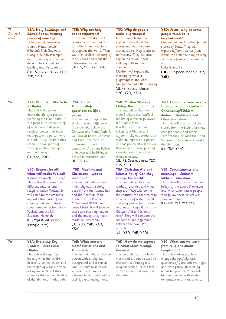| Y3<br>(6 days in<br>total) | Y3A: Holy Buildings and<br><b>Sacred Space: Visiting</b><br>places of worship.<br>. Children will look at a<br>church, Hindu temple<br>(Mandir), Sikh Gudwara,<br>Mosque, Buddhist temple<br>and a synagogue. They will<br>delves into each religious<br>building and it's contents.<br>(UL-FS: Special places, Y1D,<br>Y2B, Y2C)                                                            | Y3B: Why are holy<br>books important?<br>In this unit, children will<br>research each holy book<br>form the 6 main religions<br>throughout the world. Then<br>will then explore the story of<br>Mary Jones and what the<br>bible meant to her.<br>(UL- FS, Y1C, Y2C, Y2B)                                                                                                                                   | Y3C: Why do people<br>make pilgrimages?<br>In this unit, children will<br>explore different religious<br>places and who they are<br>scared too i.e. Hajj is sacred<br>to Muslims. They will also<br>explore as to why these<br>building hold so much<br>meaning.<br>Children will explore the<br>meaning of what a<br>pilgrimage is and what<br>sacrifice to make that journey<br>(UL-FS: Special places,<br>Y2C, Y2B, Y3A)                                           | Y3D: Jesus: why do some<br>people think he is<br>inspirational?<br>Children will explore the life and<br>stories of Jesus. They will<br>explore different stories from<br>within the bible focusing on why<br>Jesus was followed the way he<br>was.<br>Units linked :Fs<br>(UL-FS: Special people, Y1c,<br>Y2B)                                |
|----------------------------|----------------------------------------------------------------------------------------------------------------------------------------------------------------------------------------------------------------------------------------------------------------------------------------------------------------------------------------------------------------------------------------------|-------------------------------------------------------------------------------------------------------------------------------------------------------------------------------------------------------------------------------------------------------------------------------------------------------------------------------------------------------------------------------------------------------------|-----------------------------------------------------------------------------------------------------------------------------------------------------------------------------------------------------------------------------------------------------------------------------------------------------------------------------------------------------------------------------------------------------------------------------------------------------------------------|------------------------------------------------------------------------------------------------------------------------------------------------------------------------------------------------------------------------------------------------------------------------------------------------------------------------------------------------|
| Y4                         | Y4A: What is it like to be<br>a Hindu?<br>This unit will explore in<br>depth the life of a person<br>following the Hindu faith. It<br>will focus in the main beliefs<br>of a Hindu and different<br>religious stories that make<br>an impact on a person who<br>is Hindu. It will explore their<br>religious book, place of<br>worship celebrations, gods<br>and goddesses.<br>(UL-Y3A, Y3C) | Y4C: Christian and<br>Hindu beliefs and<br>questions on life's<br>journey.<br>This unit will compare the<br>similarities and difference of<br>2 people who follow the<br>Christian and Hindu faith. It<br>will look at how a Christens<br>and Hindu see their life<br>progressing from birth to<br>death (i.e. Christians believe<br>in heaven and hell/Hindus<br>believe in reincarnation)<br>UL- 3A, Y4A) | Y4B: Muslim Ways of<br>Living: Keeping 5 pillars.<br>This unit will explain the<br>main 5 pillars that scaffold<br>the life of a person following<br>the Islamic faith.<br>It will focus in the main<br>beliefs of a Muslim and<br>different religious stories that<br>make an impact on a person<br>on that person. It will explore<br>their religious book, place of<br>worship celebrations and<br>religious people.<br>(UL- FS: Special places, Y2C,<br>Y3A, Y3C) | Y4D: Finding reasons to care<br>through religious stories -<br>Christianity/Sikhism/<br>Judaism/Buddhism and<br>Hinduism Islam<br>This unit will focus on religious<br>stories from the Bible that show<br>care for people and others.<br>These stories included the Good<br>Samaritan, Zacchaeus, Daniel in<br>the Lion Den,<br>(UL-Y3A, Y4A) |
| Y <sub>5</sub>             | <b>Y5C: Respect for all:</b><br>what will make Walsall<br>a more respectful place?<br>This unit will address the<br>different cultures and<br>religions within Walsall. It<br>will compare the amounts<br>against other parts of the<br>country and can address<br>some forms of racism within<br>Walsall and the UK.<br>Judaism-Hanukah<br>(UL-Y3A & all religion<br>specific units)        | <b>Y5D: Muslims and</b><br>Christians - who is<br>inspiring?<br>This unit will address two<br>main religious, inspiring<br>people from the Islamic faith<br>and the Christian faith.<br>These are The Prophet<br>Muhammed (PBUH) and<br>Jesus Christ. It will focus on<br>these two inspiring leaders<br>and the impact they have<br>made on lives today.<br>(UL -Y3D, Y4B, Y4D,<br>Y5A)                    | Y5A: Christian Aid and<br>Islamic Relief: Can they<br>change the world?<br>This unit will explore the<br>world of charities and what<br>they are. They will look at<br>the charities the children may<br>have heard of within the UK<br>and why people feel the need<br>to donate. They will focus on<br>Christen Aid and Islamic<br>relief. They will compare the<br>similarities and difference<br>between the two PP<br>possible<br>(UL-Y3D, Y4B, Y4D)             | <b>Y5B: Commitments and</b><br>meanings – Judaism,<br>Sikhism, Christian<br>This unit will focus on the main<br>beliefs of the above 3 religions<br>and what commitment people<br>who follow these beliefs will<br>show and how.<br>(UL- Y3D, Y3A, Y4A, Y4B)                                                                                   |
| <b>Y6</b>                  | Y6A: Exploring Key<br>Leaders - Sikhs and<br>Hindus.<br>This unit will begin by<br>looking what the children<br>believe to be key leader and<br>the profile of what a person<br>a key leader. It will then<br>compare the two key leaders<br>of the Sikh and Hindu faith.                                                                                                                    | <b>Y6B: What matters</b><br>most? Christians and<br>Humanists<br>This unit will address both a<br>person with a religious<br>background and a person<br>who is a humanist. It will<br>explore the difference<br>between having faith within<br>their life and having none.                                                                                                                                  | Y6D: How do we express<br>spiritual ideas through<br>the arts?<br>This unit will focus on how<br>music and art can be used to<br>represent spirituality and<br>religious feeling. It will look<br>at Christianity, Sikhism and<br>Hinduism.                                                                                                                                                                                                                           | Y6C: What can we learn<br>from religions about<br>temptation?<br>This unit enables pupils to<br>engage thoughtfully with<br>questions of good and evil, right<br>and wrong through thinking<br>about temptation. Pupils will<br>become familiar with stories of<br>temptation and ritual practice                                              |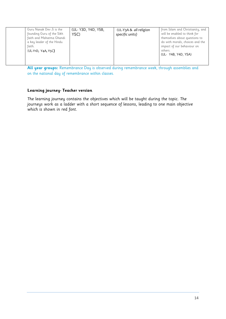| Guru Nanak Dev Ji is the<br>founding Guru of the Sikh<br>faith and Mahatma Ghandi<br>a key leader of the Hindu<br>faith.<br>(UL-Y1D, Y4A, Y5C) | (UL- Y3D, Y4D, Y5B,<br>Y5C) | (UL-Y3A & all religion<br>specific units) | from Islam and Christianity, and<br>will be enabled to think for<br>themselves about questions to<br>do with morals, choices and the<br>impact of our behaviour on<br>others.<br>(UL- Y4B, Y4D, Y5A) |
|------------------------------------------------------------------------------------------------------------------------------------------------|-----------------------------|-------------------------------------------|------------------------------------------------------------------------------------------------------------------------------------------------------------------------------------------------------|
|------------------------------------------------------------------------------------------------------------------------------------------------|-----------------------------|-------------------------------------------|------------------------------------------------------------------------------------------------------------------------------------------------------------------------------------------------------|

**All year groups:** Remembrance Day is observed during remembrance week, through assemblies and on the national day of remembrance within classes.

## **Learning journey- Teacher version**

The learning journey contains the objectives which will be taught during the topic. The journeys work as a ladder with a short sequence of lessons, leading to one main objective which is shown in red font.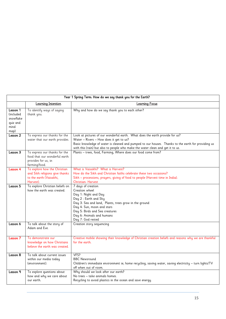|                                                                |                                                                                                         | Year 1 Spring Term: How do we say thank you for the Earth?                                                                                                                                                                                                                                                      |
|----------------------------------------------------------------|---------------------------------------------------------------------------------------------------------|-----------------------------------------------------------------------------------------------------------------------------------------------------------------------------------------------------------------------------------------------------------------------------------------------------------------|
|                                                                | Learning Intention                                                                                      | <b>Learning Focus</b>                                                                                                                                                                                                                                                                                           |
| Lesson 1<br>included)<br>snowflake<br>quiz and<br>mind<br>map) | To identify ways of saying<br>thank you.                                                                | Why and how do we say thank you to each other?                                                                                                                                                                                                                                                                  |
| <b>Lesson 2</b>                                                | To express our thanks for the<br>water that our earth provides.                                         | Look at pictures of our wonderful earth. What does the earth provide for us?<br>Water - Rivers - How does it get to us?<br>Basic knowledge of water is cleaned and pumped to our houses. Thanks to the earth for providing us<br>with this (rain) but also to people who make the water clean and get it to us. |
| <b>Lesson 3</b>                                                | To express our thanks for the<br>food that our wonderful earth<br>provides for us, ie:<br>farming/food. | Plants - trees, food, Farming, Where does our food come from?                                                                                                                                                                                                                                                   |
| <b>Lesson 4</b>                                                | To explore how the Christian<br>and Sikh religions give thanks<br>to the earth (Vaisakhi,<br>Harvest).  | What is Vaisakhi? What is Harvest?<br>How do the Sikh and Christian faiths celebrate these two occasions?<br>Sikh - processions, prayers, giving of food to people (Harvest time in India).<br><b>Christian-Harvest</b>                                                                                         |
| <b>Lesson 5</b>                                                | To explore Christian beliefs on<br>how the earth was created.                                           | 7 days of creation<br>Creation wheel<br>Day 1: Night and Day<br>Day 2: Earth and Sky<br>Day 3: Sea and land, Plants, trees grow in the ground<br>Day 4: Sun, moon and stars<br>Day 5: Birds and Sea creatures<br>Day 6: Animals and humans<br>Day 7: God rested                                                 |
| Lesson 6                                                       | To talk about the story of<br>Adam and Eve.                                                             | Creation story sequencing                                                                                                                                                                                                                                                                                       |
| <b>Lesson 7</b>                                                | To demonstrate our<br>knowledge on how Christians<br>believe the earth was created.                     | Creative mobile showing their knowledge of Christian creation beliefs and reasons why we are thankful<br>for the earth.                                                                                                                                                                                         |
| <b>Lesson 8</b>                                                | To talk about current issues<br>within our media today<br>(environment).                                | VFS?<br><b>BBC Newsround</b><br>Children's immediate environment ie; home recycling, saving water, saving electricity - turn lights/TV<br>off when out of room.                                                                                                                                                 |
| Lesson 9                                                       | To explore questions about<br>how and why we care about<br>our earth.                                   | Why should we look after our earth?<br>No trees – take animals homes.<br>Recycling to avoid plastics in the ocean and save energy.                                                                                                                                                                              |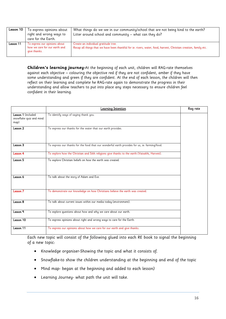| Lesson 10 | To express opinions about<br>right and wrong ways to<br>care for the Earth.    | What things do we see in our community/school that are not being kind to the earth?<br>Litter around school and community $-$ what can they do?           |
|-----------|--------------------------------------------------------------------------------|-----------------------------------------------------------------------------------------------------------------------------------------------------------|
| Lesson 11 | To express our opinions about<br>how we care for our earth and<br>give thanks. | Create an individual gratitude tree.<br>Recap all things that we have been thankful for ie: rivers, water, food, harvest, Christian creation, family etc. |

**Children's learning journey-**At the beginning of each unit, children will RAG-rate themselves against each objective – colouring the objective red if they are not confident, amber if they have some understanding and green if they are confident. At the end of each lesson, the children will then reflect on their learning and complete he RAG-rate again to demonstrate the progress in their understanding and allow teachers to put into place any steps necessary to ensure children feel confident in their learning.

|                                                       | <b>Learning Intention</b>                                                                      | Rag rate |
|-------------------------------------------------------|------------------------------------------------------------------------------------------------|----------|
| Lesson 1 (included<br>snowflake quiz and mind<br>map) | To identify ways of saying thank you.                                                          |          |
| Lesson 2                                              | To express our thanks for the water that our earth provides.                                   |          |
| Lesson 3                                              | To express our thanks for the food that our wonderful earth provides for us, ie: farming/food. |          |
| Lesson 4                                              | To explore how the Christian and Sikh religions give thanks to the earth (Vaisakhi, Harvest).  |          |
| Lesson 5                                              | To explore Christian beliefs on how the earth was created.                                     |          |
| Lesson 6                                              | To talk about the story of Adam and Eve.                                                       |          |
| Lesson 7                                              | To demonstrate our knowledge on how Christians believe the earth was created.                  |          |
| Lesson 8                                              | To talk about current issues within our media today (environment).                             |          |
| Lesson 9                                              | To explore questions about how and why we care about our earth.                                |          |
| Lesson $10$                                           | To express opinions about right and wrong ways to care for the Earth.                          |          |
| Lesson 11                                             | To express our opinions about how we care for our earth and give thanks.                       |          |

Each new topic will consist of the following glued into each RE book to signal the beginning of a new topic:

- Knowledge organiser-Showing the topic and what it consists of.
- Snowflake-to show the children understanding at the beginning and end of the topic
- Mind map- began at the beginning and added to each lesson)
- Learning Journey- what path the unit will take.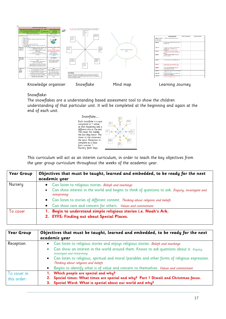

## Snowflake-

The snowflakes are a understanding based assessment tool to show the children understanding of that particular unit. It will be completed at the beginning and again at the end of each unit.



This curriculum will act as an interim curriculum, in order to teach the key objectives from the year group curriculum throughout the weeks of the academic year.

| Year Group | Objectives that must be taught, learned and embedded, to be ready for the next<br>academic year                                                                                                       |
|------------|-------------------------------------------------------------------------------------------------------------------------------------------------------------------------------------------------------|
| Nursery    | Can listen to religious stories. Beliefs and teachings<br>Can show interest in the world and begins to think of questions to ask. <i>Enquiry, investigate and</i><br>$\bullet$<br><i>interpreting</i> |
|            | Can listen to stories of different content. Thinking about religions and beliefs<br>$\bullet$<br>Can show care and concern for others. Values and commitment                                          |
| To cover   | Begin to understand simple religious stories i.e. Noah's Ark.<br>2. EYFS: Finding out about Special Places.                                                                                           |

| Year Group                 | Objectives that must be taught, learned and embedded, to be ready for the next<br>academic year                                                                                                                                                                                                                                   |
|----------------------------|-----------------------------------------------------------------------------------------------------------------------------------------------------------------------------------------------------------------------------------------------------------------------------------------------------------------------------------|
| Reception                  | Can listen to religious stories and enjoys religious stories. Beliefs and teachings<br>$\bullet$<br>Can show an interest in the world around them. Knows to ask questions about it. Enquiry,<br>investigate and interpreting<br>• Can listen to religious, spiritual and moral /parables and other forms of religious expression. |
|                            | Thinking about religions and beliefs<br>Begins to identify what is of value and concern to themselves. Values and commitment                                                                                                                                                                                                      |
| To cover in<br>this order: | 1. Which people are special and why?<br>2. Special times: What times are special and why? Part 1 Diwali and Christmas focus.<br>3. Special Word: What is special about our world and why?                                                                                                                                         |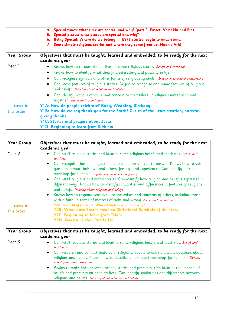| 4. Special times: what time are special and why? (part 2 -Easter, Vaisakhi and Eid) |
|-------------------------------------------------------------------------------------|
| 5. Special places: what places are special and why?                                 |
| 6. Being Special: Where do we belong EYFS stories- begin to understand              |
| 7. Some simple religious stories and where they come from i.e. Noah's Ark).         |

| Year Group  | Objectives that must be taught, learned and embedded, to be ready for the next<br>academic year                                                                                                                                                                                                                                                                                                                                                                                                                                             |
|-------------|---------------------------------------------------------------------------------------------------------------------------------------------------------------------------------------------------------------------------------------------------------------------------------------------------------------------------------------------------------------------------------------------------------------------------------------------------------------------------------------------------------------------------------------------|
| Year 1      | • Knows how to recount the outlines of some religious stories. Beliefs and teachings<br>• Knows how to identify what they find interesting and puzzling in life.<br>Can recognise symbols and other forms of religious symbols. <i>Enquiry, investigate and interpreting</i><br>$\bullet$<br>• Can recall features of religious stories. Begins to recognise and name features of religions<br>and beliefs. Thinking about religions and beliefs<br>• Can identify what is of value and concern to themselves, in religious material shared |
|             | together. Values and commitment                                                                                                                                                                                                                                                                                                                                                                                                                                                                                                             |
| To cover in | Y1A: How do people celebrate? Baby, Wedding, Birthday.                                                                                                                                                                                                                                                                                                                                                                                                                                                                                      |
| this order: | Y1B: How do we say thank you for the Earth? Cycles of the year: creation, harvest,<br>giving thanks<br>Y1C: Stories and prayers about Jesus<br>Y1D: Beginning to learn from Sikhism                                                                                                                                                                                                                                                                                                                                                         |

| Year Group  | Objectives that must be taught, learned and embedded, to be ready for the next                                                                                                                                                                     |
|-------------|----------------------------------------------------------------------------------------------------------------------------------------------------------------------------------------------------------------------------------------------------|
|             | academic year                                                                                                                                                                                                                                      |
| Year 2      | • Can retell religious stories and identify some religious beliefs and teachings. Beliefs and<br>teachings                                                                                                                                         |
|             | • Can recognise that some questions about life are difficult to answer. Knows how to ask<br>questions about their own and others' feelings and experiences. Can identify possible<br>meanings for symbols. Enquiry, investigate and interpreting   |
|             | • Can retell religious and moral stories. Can identify how religion and belief is expressed in<br>different ways. Knows how to identify similarities and differences in features of religions<br>and beliefs. Thinking about religions and beliefs |
|             | • Knows how to respond sensitively to the values and concerns of others, including those<br>with a faith, in terms of matters of right and wrong Values and commitment                                                                             |
| To cover in | Y2A: A world of festivals: Who celebrates what and why?                                                                                                                                                                                            |
| this order: | Y2B: What does Easter mean to Christians? Symbols of the story                                                                                                                                                                                     |
|             | Y2C: Beginning to learn from Islam                                                                                                                                                                                                                 |
|             | <b>Y2D: Questions that Puzzle Us</b>                                                                                                                                                                                                               |

| Year Group | Objectives that must be taught, learned and embedded, to be ready for the next<br>academic year                                                                                                                                                                    |
|------------|--------------------------------------------------------------------------------------------------------------------------------------------------------------------------------------------------------------------------------------------------------------------|
| Year 3     | • Can retell religious stories and identify some religious beliefs and teachings. Beliefs and<br>teachings                                                                                                                                                         |
|            | • Can research and connect features of religions. Begins to ask significant questions about<br>religions and beliefs. Knows how to describe and suggest meanings for symbols. <i>Enquiry</i> ,<br>investigate and interpreting                                     |
|            | Begins to make links between beliefs, stories and practices. Can identify the impacts of<br>$\bullet$<br>beliefs and practices on people's lives. Can identify similarities and differences between<br>religions and beliefs. Thinking about religions and beliefs |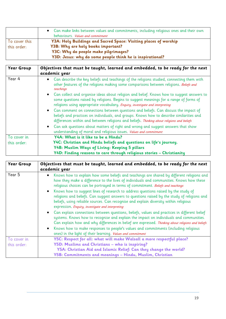|                              | • Can make links between values and commitments, including religious ones and their own<br>behaviours. <i>Values and commitment</i> |
|------------------------------|-------------------------------------------------------------------------------------------------------------------------------------|
| To cover this<br>this order: | Y3A: Holy Buildings and Sacred Space: Visiting places of worship<br>Y3B: Why are holy books important?                              |
|                              | Y3C: Why do people make pilgrimages?<br>Y3D: Jesus: why do some people think he is inspirational?                                   |

| Year Group  | Objectives that must be taught, learned and embedded, to be ready for the next<br>academic year                                                                                                                                                                                 |
|-------------|---------------------------------------------------------------------------------------------------------------------------------------------------------------------------------------------------------------------------------------------------------------------------------|
| Year 4      | • Can describe the key beliefs and teachings of the religions studied, connecting them with<br>other features of the religions making some comparisons between religions. Beliefs and<br>teachings                                                                              |
|             | • Can collect and organise ideas about religion and belief. Knows how to suggest answers to<br>some questions raised by religions. Begins to suggest meanings for a range of forms of<br>religions using appropriate vocabulary. Enquiry, investigate and interpreting          |
|             | • Can comment on connections between questions and beliefs. Can discuss the impact of<br>beliefs and practices on individuals, and groups. Knows how to describe similarities and<br>differences within and between religions and beliefs. Thinking about religions and beliefs |
|             | • Can ask questions about matters of right and wrong and suggest answers that show<br>understanding of moral and religious issues. Values and commitment                                                                                                                        |
| To cover in | Y4A: What is it like to be a Hindu?                                                                                                                                                                                                                                             |
| this order: | Y4C: Christian and Hindu beliefs and questions on life's journey.                                                                                                                                                                                                               |
|             | Y4B: Muslim Ways of Living: Keeping 5 pillars                                                                                                                                                                                                                                   |
|             | Y4D: Finding reasons to care through religious stories - Christianity                                                                                                                                                                                                           |

| Year Group  | Objectives that must be taught, learned and embedded, to be ready for the next<br>academic year                                                                                                                                                                                                                                                                                                   |
|-------------|---------------------------------------------------------------------------------------------------------------------------------------------------------------------------------------------------------------------------------------------------------------------------------------------------------------------------------------------------------------------------------------------------|
| Year 5      | Knows how to explain how some beliefs and teachings are shared by different religions and<br>$\bullet$<br>how they make a difference to the lives of individuals and communities. Knows how these<br>religious choices can be portrayed in terms of commitment. Beliefs and teachings                                                                                                             |
|             | Knows how to suggest lines of research to address questions raised by the study of<br>$\bullet$<br>religions and beliefs. Can suggest answers to questions raised by the study of religions and<br>beliefs, using reliable sources. Can recognise and explain diversity within religious<br>expression. Enquiry, investigate and interpreting                                                     |
|             | • Can explain connections between questions, beliefs, values and practices in different belief<br>systems. Knows how to recognise and explain the impact on individuals and communities.<br>Can explain how and why differences in belief are expressed. Thinking about religions and beliefs<br>Knows how to make responses to people's values and commitments (including religious<br>$\bullet$ |
|             | ones) in the light of their learning. Values and commitment                                                                                                                                                                                                                                                                                                                                       |
| To cover in | Y5C: Respect for all: what will make Walsall a more respectful place?                                                                                                                                                                                                                                                                                                                             |
| this order: | Y5D: Muslims and Christians - who is inspiring?                                                                                                                                                                                                                                                                                                                                                   |
|             | Y5A: Christian Aid and Islamic Relief: Can they change the world?                                                                                                                                                                                                                                                                                                                                 |
|             | Y5B: Commitments and meanings - Hindu, Muslim, Christian                                                                                                                                                                                                                                                                                                                                          |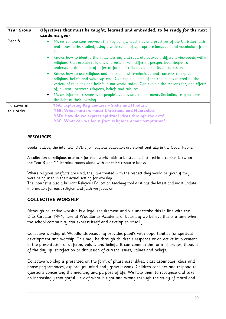| Year Group  | Objectives that must be taught, learned and embedded, to be ready for the next<br>academic year                                                                                                                                                                                                                                        |
|-------------|----------------------------------------------------------------------------------------------------------------------------------------------------------------------------------------------------------------------------------------------------------------------------------------------------------------------------------------|
| Year 6      | Makes comparisons between the key beliefs, teachings and practices of the Christian faith<br>$\bullet$<br>and other faiths studied, using a wide range of appropriate language and vocabulary from<br>it.                                                                                                                              |
|             | Knows how to identify the influences on, and separate between, different viewpoints within<br>religions. Can explain religions and beliefs from different perspectives. Begins to<br>understand the impact of different forms of religious and spiritual expression.                                                                   |
|             | Knows how to use religious and philosophical terminology and concepts to explain<br>religions, beliefs and value systems. Can explain some of the challenges offered by the<br>variety of religions and beliefs in our world today. Can explain the reasons for, and effects<br>of, diversity between religions, beliefs and cultures. |
|             | Makes informed responses to people's values and commitments (including religious ones) in<br>$\bullet$<br>the light of their learning.                                                                                                                                                                                                 |
| To cover in | Y6A: Exploring Key Leaders - Sikhs and Hindus                                                                                                                                                                                                                                                                                          |
| this order: | Y6B: What matters most? Christians and Humanists                                                                                                                                                                                                                                                                                       |
|             | Y6D: How do we express spiritual ideas through the arts?                                                                                                                                                                                                                                                                               |
|             | Y6C: What can we learn from religions about temptation?                                                                                                                                                                                                                                                                                |

## **RESOURCES**

Books, videos, the internet, DVD's for religious education are stored centrally in the Cedar Room.

A collection of religious artefacts for each world faith to be studied is stored in a cabinet between the Year 3 and Y4 learning rooms along with other RE resource books.

Where religious artefacts are used, they are treated with the respect they would be given if they were being used in their actual setting for worship.

The internet is also a brilliant Religious Education teaching tool as it has the latest and most update information for each religion and faith we focus on.

## **COLLECTIVE WORSHIP**

Although collective worship is a legal requirement and we undertake this in line with the DfEs Circular 1994, here at Woodlands Academy of Learning we believe this is a time when the school community can express itself and develop spiritually.

Collective worship at Woodlands Academy provides pupil's with opportunities for spiritual development and worship. This may be through children's response or an active involvement in the presentation of differing values and beliefs. It can come in the form of prayer, thought of the day, quiet refection or discussion of current issues, values and beliefs.

Collective worship is presented on the form of phase assemblies, class assemblies, class and phase performances, explore you mind and jigsaw lessons. Children consider and respond to questions concerning the meaning and purpose of life. We help them to recognise and take an increasingly thoughtful view of what is right and wrong through the study of moral and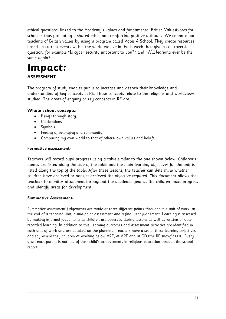ethical questions, linked to the Academy's values and fundamental British Values(votes for schools), thus promoting a shared ethos and reinforcing positive attitudes. We enhance our teaching of British values by using a program called Votes 4 School. They create resources based on current events within the world we live in. Each week they give a controversial question, for example "Is cyber security important to you?" and "Will learning ever be the same again?

# **Impact: ASSESSMENT**

The program of study enables pupils to increase and deepen their knowledge and understanding of key concepts in RE. These concepts relate to the religions and worldviews studied. The areas of enquiry or key concepts in RE are:

## **Whole school concepts:**

- Beliefs through story.
- **•** Celebrations
- Symbols
- Feeling of belonging and community
- Comparing my own world to that of others- own values and beliefs.

## **Formative assessment-**

Teachers will record pupil progress using a table similar to the one shown below. Children's names are listed along the side of the table and the main learning objectives for the unit is listed along the top of the table. After these lessons, the teacher can determine whether children have achieved or not yet achieved the objective required. This document allows the teachers to monitor attainment throughout the academic year as the children make progress and identify areas for development.

## **Summative Assessment-**

Summative assessment judgements are made at three different points throughout a unit of work: at the end of a teaching unit, a mid-point assessment and a final year judgement. Learning is assessed by making informal judgements as children are observed during lessons as well as written or other recorded learning. In addition to this, learning outcomes and assessment activities are identified in each unit of work and are detailed on the planning. Teachers have a set of these learning objectives and say where they children at working below ARE, at ARE and at GD (the RE snowflakes). Every year, each parent is notified of their child's achievements in religious education through the school report.